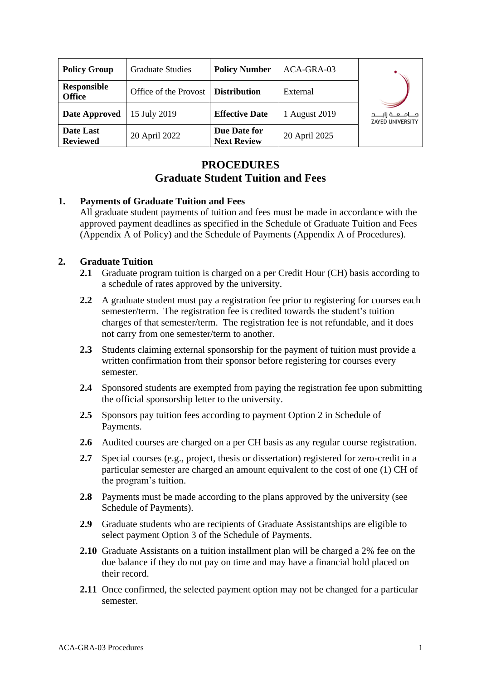| <b>Policy Group</b>                 | <b>Graduate Studies</b> | <b>Policy Number</b>               | ACA-GRA-03    |                                                     |
|-------------------------------------|-------------------------|------------------------------------|---------------|-----------------------------------------------------|
| <b>Responsible</b><br><b>Office</b> | Office of the Provost   | <b>Distribution</b>                | External      |                                                     |
| Date Approved                       | 15 July 2019            | <b>Effective Date</b>              | 1 August 2019 | مــــامـــــه زايــــــد<br><b>ZAYED UNIVERSITY</b> |
| Date Last<br><b>Reviewed</b>        | 20 April 2022           | Due Date for<br><b>Next Review</b> | 20 April 2025 |                                                     |

# **PROCEDURES Graduate Student Tuition and Fees**

# **1. Payments of Graduate Tuition and Fees**

All graduate student payments of tuition and fees must be made in accordance with the approved payment deadlines as specified in the Schedule of Graduate Tuition and Fees (Appendix A of Policy) and the Schedule of Payments (Appendix A of Procedures).

# **2. Graduate Tuition**

- **2.1** Graduate program tuition is charged on a per Credit Hour (CH) basis according to a schedule of rates approved by the university.
- **2.2** A graduate student must pay a registration fee prior to registering for courses each semester/term. The registration fee is credited towards the student's tuition charges of that semester/term. The registration fee is not refundable, and it does not carry from one semester/term to another.
- **2.3** Students claiming external sponsorship for the payment of tuition must provide a written confirmation from their sponsor before registering for courses every semester.
- **2.4** Sponsored students are exempted from paying the registration fee upon submitting the official sponsorship letter to the university.
- **2.5** Sponsors pay tuition fees according to payment Option 2 in Schedule of Payments.
- **2.6** Audited courses are charged on a per CH basis as any regular course registration.
- **2.7** Special courses (e.g., project, thesis or dissertation) registered for zero-credit in a particular semester are charged an amount equivalent to the cost of one (1) CH of the program's tuition.
- **2.8** Payments must be made according to the plans approved by the university (see Schedule of Payments).
- **2.9** Graduate students who are recipients of Graduate Assistantships are eligible to select payment Option 3 of the Schedule of Payments.
- **2.10** Graduate Assistants on a tuition installment plan will be charged a 2% fee on the due balance if they do not pay on time and may have a financial hold placed on their record.
- **2.11** Once confirmed, the selected payment option may not be changed for a particular semester.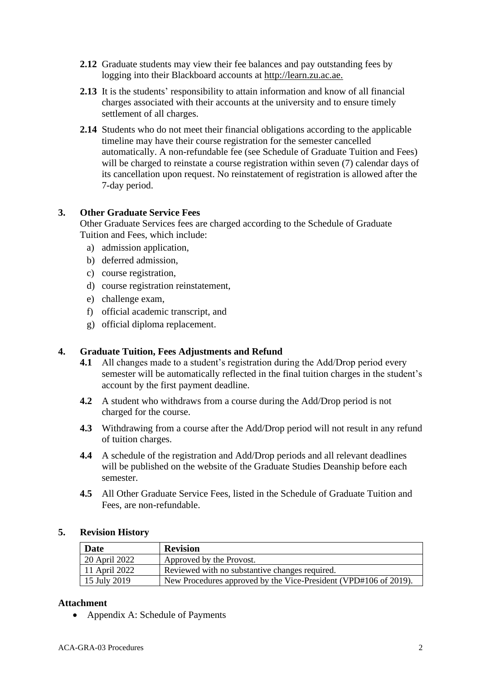- **2.12** Graduate students may view their fee balances and pay outstanding fees by logging into their Blackboard accounts at [http://learn.zu.ac.ae.](http://learn.zu.ac.ae/)
- **2.13** It is the students' responsibility to attain information and know of all financial charges associated with their accounts at the university and to ensure timely settlement of all charges.
- **2.14** Students who do not meet their financial obligations according to the applicable timeline may have their course registration for the semester cancelled automatically. A non-refundable fee (see Schedule of Graduate Tuition and Fees) will be charged to reinstate a course registration within seven (7) calendar days of its cancellation upon request. No reinstatement of registration is allowed after the 7-day period.

# **3. Other Graduate Service Fees**

Other Graduate Services fees are charged according to the Schedule of Graduate Tuition and Fees, which include:

- a) admission application,
- b) deferred admission,
- c) course registration,
- d) course registration reinstatement,
- e) challenge exam,
- f) official academic transcript, and
- g) official diploma replacement.

# **4. Graduate Tuition, Fees Adjustments and Refund**

- **4.1** All changes made to a student's registration during the Add/Drop period every semester will be automatically reflected in the final tuition charges in the student's account by the first payment deadline.
- **4.2** A student who withdraws from a course during the Add/Drop period is not charged for the course.
- **4.3** Withdrawing from a course after the Add/Drop period will not result in any refund of tuition charges.
- **4.4** A schedule of the registration and Add/Drop periods and all relevant deadlines will be published on the website of the Graduate Studies Deanship before each semester.
- **4.5** All Other Graduate Service Fees, listed in the Schedule of Graduate Tuition and Fees, are non-refundable.

### **5. Revision History**

| <b>Date</b>   | <b>Revision</b>                                                  |  |
|---------------|------------------------------------------------------------------|--|
| 20 April 2022 | Approved by the Provost.                                         |  |
| 11 April 2022 | Reviewed with no substantive changes required.                   |  |
| 15 July 2019  | New Procedures approved by the Vice-President (VPD#106 of 2019). |  |

### **Attachment**

• Appendix A: Schedule of Payments